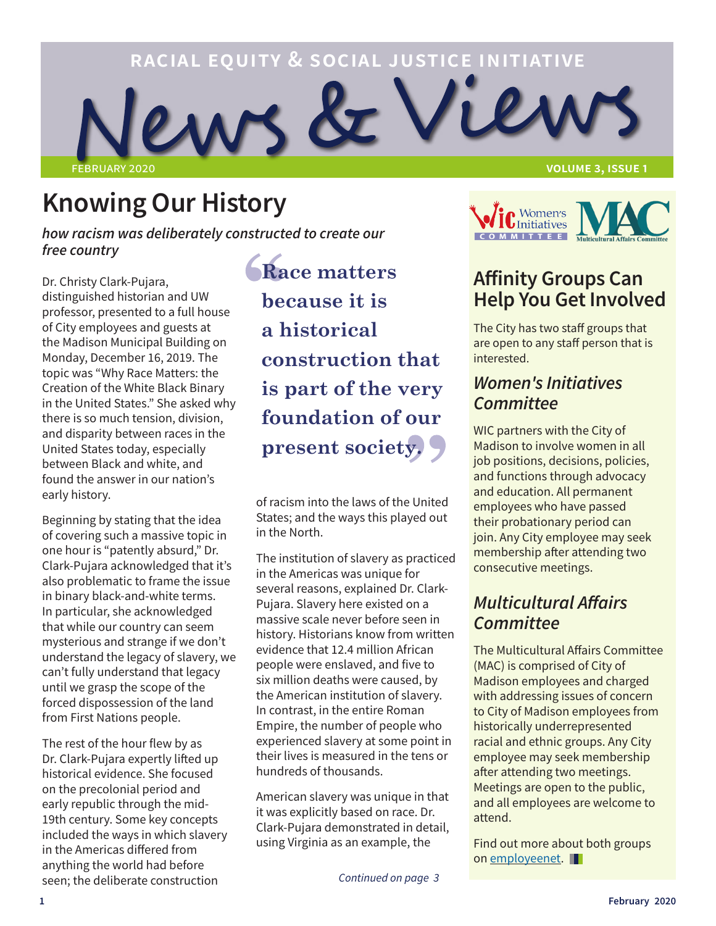

## **Knowing Our History**

*how racism was deliberately constructed to create our free country*

Dr. Christy Clark-Pujara, distinguished historian and UW professor, presented to a full house of City employees and guests at the Madison Municipal Building on Monday, December 16, 2019. The topic was "Why Race Matters: the Creation of the White Black Binary in the United States." She asked why there is so much tension, division, and disparity between races in the United States today, especially between Black and white, and found the answer in our nation's early history.

Beginning by stating that the idea of covering such a massive topic in one hour is "patently absurd," Dr. Clark-Pujara acknowledged that it's also problematic to frame the issue in binary black-and-white terms. In particular, she acknowledged that while our country can seem mysterious and strange if we don't understand the legacy of slavery, we can't fully understand that legacy until we grasp the scope of the forced dispossession of the land from First Nations people.

The rest of the hour flew by as Dr. Clark-Pujara expertly lifted up historical evidence. She focused on the precolonial period and early republic through the mid-19th century. Some key concepts included the ways in which slavery in the Americas differed from anything the world had before seen; the deliberate construction

**Race matters because it is a historical construction that is part of the very foundation of our present society.** 

of racism into the laws of the United States; and the ways this played out in the North.

The institution of slavery as practiced in the Americas was unique for several reasons, explained Dr. Clark-Pujara. Slavery here existed on a massive scale never before seen in history. Historians know from written evidence that 12.4 million African people were enslaved, and five to six million deaths were caused, by the American institution of slavery. In contrast, in the entire Roman Empire, the number of people who experienced slavery at some point in their lives is measured in the tens or hundreds of thousands.

American slavery was unique in that it was explicitly based on race. Dr. Clark-Pujara demonstrated in detail, using Virginia as an example, the

**VOLUME 3, ISSUE 1** 



## **Affinity Groups Can Help You Get Involved**

The City has two staff groups that are open to any staff person that is interested.

## *Women's Initiatives Committee*

WIC partners with the City of Madison to involve women in all job positions, decisions, policies, and functions through advocacy and education. All permanent employees who have passed their probationary period can join. Any City employee may seek membership after attending two consecutive meetings.

## *Multicultural Affairs Committee*

The Multicultural Affairs Committee (MAC) is comprised of City of Madison employees and charged with addressing issues of concern to City of Madison employees from historically underrepresented racial and ethnic groups. Any City employee may seek membership after attending two meetings. Meetings are open to the public, and all employees are welcome to attend.

Find out more about both groups on [employeenet.](http://employeenet)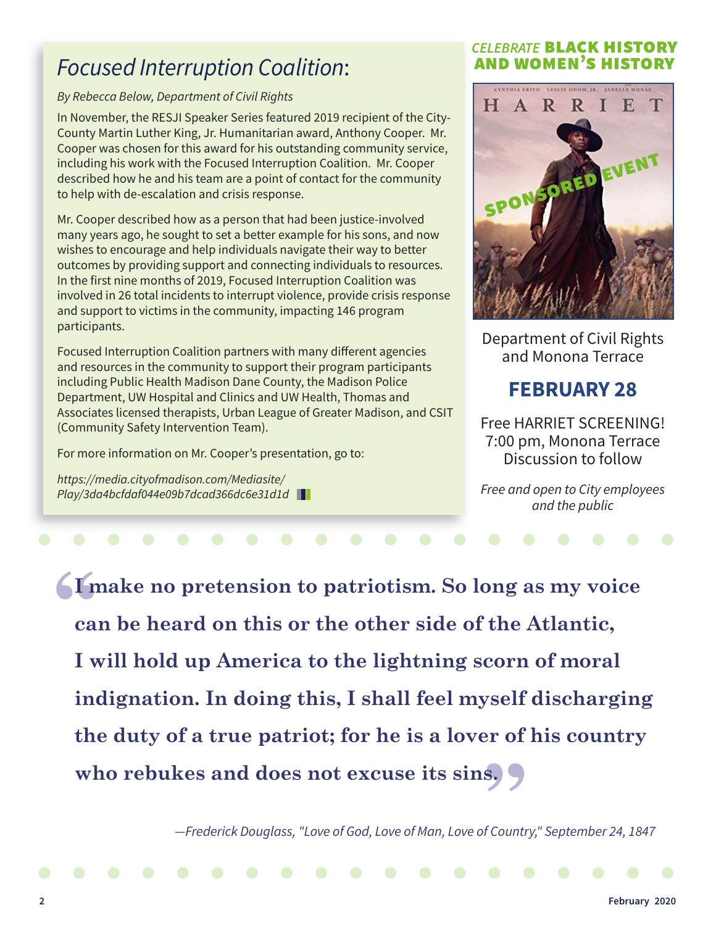## *Focused Interruption Coalition*:

#### *By Rebecca Below, Department of Civil Rights*

In November, the RESJI Speaker Series featured 2019 recipient of the City-County Martin Luther King, Jr. Humanitarian award, Anthony Cooper. Mr. Cooper was chosen for this award for his outstanding community service, including his work with the Focused Interruption Coalition. Mr. Cooper described how he and his team are a point of contact for the community to help with de-escalation and crisis response.

Mr. Cooper described how as a person that had been justice-involved many years ago, he sought to set a better example for his sons, and now wishes to encourage and help individuals navigate their way to better outcomes by providing support and connecting individuals to resources. In the first nine months of 2019, Focused Interruption Coalition was involved in 26 total incidents to interrupt violence, provide crisis response and support to victims in the community, impacting 146 program participants.

Focused Interruption Coalition partners with many different agencies and resources in the community to support their program participants including Public Health Madison Dane County, the Madison Police Department, UW Hospital and Clinics and UW Health, Thomas and Associates licensed therapists, Urban League of Greater Madison, and CSIT (Community Safety Intervention Team).

For more information on Mr. Cooper's presentation, go to:

*https://media.cityofmadison.com/Mediasite/ Play/3da4bcfdaf044e09b7dcad366dc6e31d1d*

#### **CELEBRATE BLACK HISTORY AND WOMEN'S HISTORY**



Department of Civil Rights and Monona Terrace

## **FEBRUARY 28**

Free HARRIET SCREENING! 7:00 pm, Monona Terrace Discussion to follow

*Free and open to City employees and the public*

**I make no pretension to patriotism. So long as my voice can be heard on this or the other side of the Atlantic, I will hold up America to the lightning scorn of moral indignation. In doing this, I shall feel myself discharging the duty of a true patriot; for he is a lover of his country who rebukes and does not excuse its sins.**

*—Frederick Douglass, "Love of God, Love of Man, Love of Country," September 24, 1847*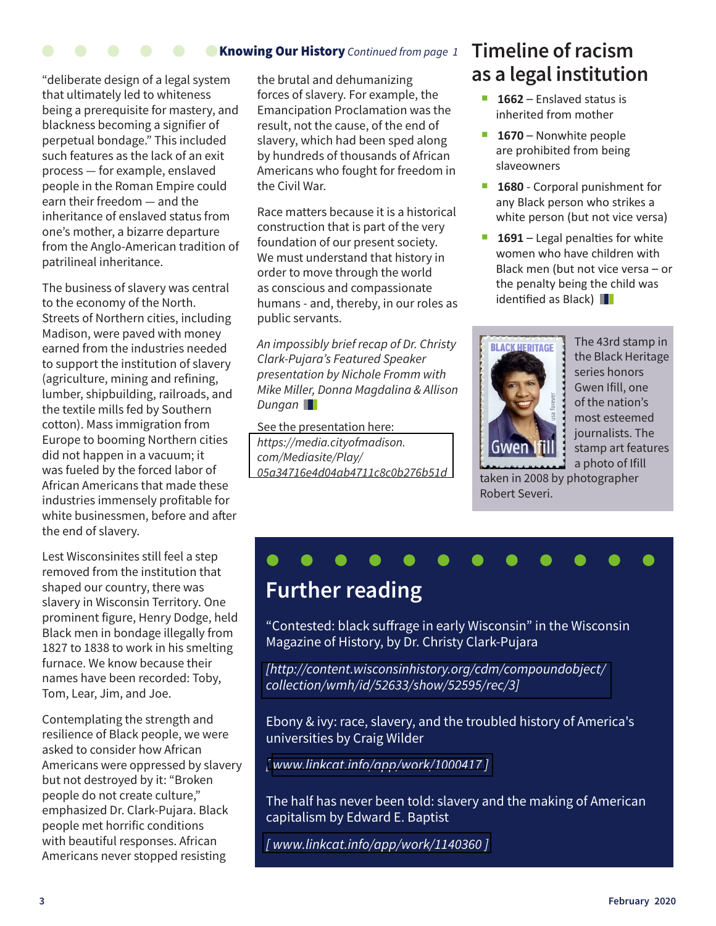### Knowing Our History *Continued from page 1*

"deliberate design of a legal system that ultimately led to whiteness being a prerequisite for mastery, and blackness becoming a signifier of perpetual bondage." This included such features as the lack of an exit process — for example, enslaved people in the Roman Empire could earn their freedom — and the inheritance of enslaved status from one's mother, a bizarre departure from the Anglo-American tradition of patrilineal inheritance.

The business of slavery was central to the economy of the North. Streets of Northern cities, including Madison, were paved with money earned from the industries needed to support the institution of slavery (agriculture, mining and refining, lumber, shipbuilding, railroads, and the textile mills fed by Southern cotton). Mass immigration from Europe to booming Northern cities did not happen in a vacuum; it was fueled by the forced labor of African Americans that made these industries immensely profitable for white businessmen, before and after the end of slavery.

Lest Wisconsinites still feel a step removed from the institution that shaped our country, there was slavery in Wisconsin Territory. One prominent figure, Henry Dodge, held Black men in bondage illegally from 1827 to 1838 to work in his smelting furnace. We know because their names have been recorded: Toby, Tom, Lear, Jim, and Joe.

Contemplating the strength and resilience of Black people, we were asked to consider how African Americans were oppressed by slavery but not destroyed by it: "Broken people do not create culture," emphasized Dr. Clark-Pujara. Black people met horrific conditions with beautiful responses. African Americans never stopped resisting

the brutal and dehumanizing forces of slavery. For example, the Emancipation Proclamation was the result, not the cause, of the end of slavery, which had been sped along by hundreds of thousands of African Americans who fought for freedom in the Civil War.

Race matters because it is a historical construction that is part of the very foundation of our present society. We must understand that history in order to move through the world as conscious and compassionate humans - and, thereby, in our roles as public servants.

*An impossibly brief recap of Dr. Christy Clark-Pujara's Featured Speaker presentation by Nichole Fromm with Mike Miller, Donna Magdalina & Allison Dungan*

See the presentation here: *https://media.cityofmadison. com/Mediasite/Play/ [05a34716e4d04ab4711c8c0b276b51d](https://media.cityofmadison.com/Mediasite/Play/a7a05a34716e4d04ab4711c8c0b276b51d)*

## **Timeline of racism as a legal institution**

- 1662 Enslaved status is inherited from mother
- **1670** Nonwhite people are prohibited from being slaveowners
- **1680** Corporal punishment for any Black person who strikes a white person (but not vice versa)
- **1691** Legal penalties for white women who have children with Black men (but not vice versa – or the penalty being the child was identified as Black)



The 43rd stamp in the Black Heritage series honors Gwen Ifill, one of the nation's most esteemed journalists. The stamp art features a photo of Ifill

taken in 2008 by photographer Robert Severi.

# **Further reading**

"Contested: black suffrage in early Wisconsin" in the Wisconsin Magazine of History, by Dr. Christy Clark-Pujara

*[\[http://content.wisconsinhistory.org/cdm/compoundobject/](http://content.wisconsinhistory.org/cdm/compoundobject/collection/wmh/id/52633/show/52595/rec/3) collection/wmh/id/52633/show/52595/rec/3]* 

Ebony & ivy: race, slavery, and the troubled history of America's universities by Craig Wilder

*[ www.linkcat.info/app/work/1000417 ]*

The half has never been told: slavery and the making of American capitalism by Edward E. Baptist

*[\[ www.linkcat.info/app/work/1140360 \]](www.linkcat.info/app/work/1140360)*